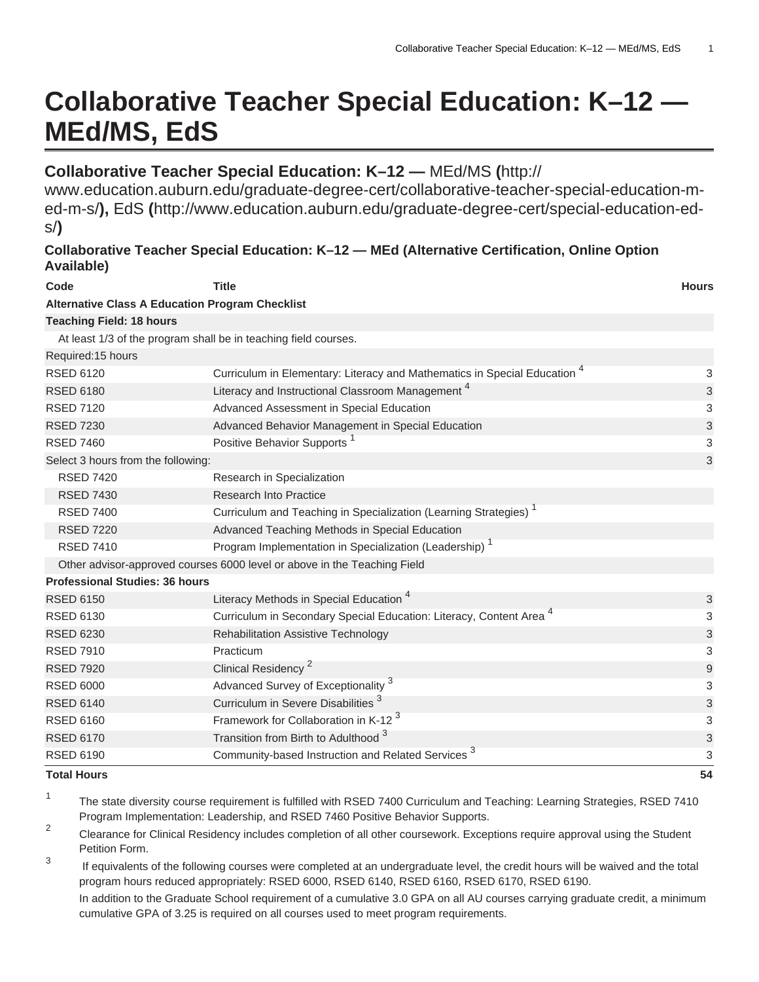# **Collaborative Teacher Special Education: K–12 — MEd/MS, EdS**

## **Collaborative Teacher Special Education: K–12 —** [MEd/MS](http://www.education.auburn.edu/graduate-degree-cert/collaborative-teacher-special-education-m-ed-m-s/) **(**[http://](http://www.education.auburn.edu/graduate-degree-cert/collaborative-teacher-special-education-m-ed-m-s/)

[www.education.auburn.edu/graduate-degree-cert/collaborative-teacher-special-education-m](http://www.education.auburn.edu/graduate-degree-cert/collaborative-teacher-special-education-m-ed-m-s/)[ed-m-s/](http://www.education.auburn.edu/graduate-degree-cert/collaborative-teacher-special-education-m-ed-m-s/)**),** [EdS](http://www.education.auburn.edu/graduate-degree-cert/special-education-ed-s/) **(**[http://www.education.auburn.edu/graduate-degree-cert/special-education-ed](http://www.education.auburn.edu/graduate-degree-cert/special-education-ed-s/)[s/](http://www.education.auburn.edu/graduate-degree-cert/special-education-ed-s/)**)**

## **Collaborative Teacher Special Education: K–12 — MEd (Alternative Certification, Online Option Available)**

| Code                                                   | <b>Title</b>                                                                         | <b>Hours</b>              |
|--------------------------------------------------------|--------------------------------------------------------------------------------------|---------------------------|
| <b>Alternative Class A Education Program Checklist</b> |                                                                                      |                           |
| <b>Teaching Field: 18 hours</b>                        |                                                                                      |                           |
|                                                        | At least 1/3 of the program shall be in teaching field courses.                      |                           |
| Required: 15 hours                                     |                                                                                      |                           |
| <b>RSED 6120</b>                                       | Curriculum in Elementary: Literacy and Mathematics in Special Education <sup>4</sup> | 3                         |
| <b>RSED 6180</b>                                       | Literacy and Instructional Classroom Management <sup>4</sup>                         | 3                         |
| <b>RSED 7120</b>                                       | Advanced Assessment in Special Education                                             | 3                         |
| <b>RSED 7230</b>                                       | Advanced Behavior Management in Special Education                                    | $\ensuremath{\mathsf{3}}$ |
| <b>RSED 7460</b>                                       | Positive Behavior Supports <sup>1</sup>                                              | 3                         |
| Select 3 hours from the following:                     |                                                                                      |                           |
| <b>RSED 7420</b>                                       | Research in Specialization                                                           |                           |
| <b>RSED 7430</b>                                       | <b>Research Into Practice</b>                                                        |                           |
| <b>RSED 7400</b>                                       | Curriculum and Teaching in Specialization (Learning Strategies) <sup>1</sup>         |                           |
| <b>RSED 7220</b>                                       | Advanced Teaching Methods in Special Education                                       |                           |
| <b>RSED 7410</b>                                       | Program Implementation in Specialization (Leadership) <sup>1</sup>                   |                           |
|                                                        | Other advisor-approved courses 6000 level or above in the Teaching Field             |                           |
| <b>Professional Studies: 36 hours</b>                  |                                                                                      |                           |
| <b>RSED 6150</b>                                       | Literacy Methods in Special Education <sup>4</sup>                                   | $\ensuremath{\mathsf{3}}$ |
| <b>RSED 6130</b>                                       | Curriculum in Secondary Special Education: Literacy, Content Area <sup>4</sup>       | 3                         |
| <b>RSED 6230</b>                                       | <b>Rehabilitation Assistive Technology</b>                                           | $\ensuremath{\mathsf{3}}$ |
| <b>RSED 7910</b>                                       | Practicum                                                                            | 3                         |
| <b>RSED 7920</b>                                       | Clinical Residency <sup>2</sup>                                                      | 9                         |
| <b>RSED 6000</b>                                       | Advanced Survey of Exceptionality <sup>3</sup>                                       | 3                         |
| <b>RSED 6140</b>                                       | Curriculum in Severe Disabilities <sup>3</sup>                                       | $\ensuremath{\mathsf{3}}$ |
| <b>RSED 6160</b>                                       | Framework for Collaboration in K-12 <sup>3</sup>                                     | 3                         |
| <b>RSED 6170</b>                                       | Transition from Birth to Adulthood <sup>3</sup>                                      | 3                         |
| <b>RSED 6190</b>                                       | Community-based Instruction and Related Services <sup>3</sup>                        | 3                         |
| <b>Total Hours</b>                                     |                                                                                      | 54                        |

1 The state diversity course requirement is fulfilled with RSED 7400 Curriculum and Teaching: Learning Strategies, RSED 7410 Program Implementation: Leadership, and RSED 7460 Positive Behavior Supports.

- 2 Clearance for Clinical Residency includes completion of all other coursework. Exceptions require approval using the Student Petition Form.
- 3 If equivalents of the following courses were completed at an undergraduate level, the credit hours will be waived and the total program hours reduced appropriately: RSED 6000, RSED 6140, RSED 6160, RSED 6170, RSED 6190.

In addition to the Graduate School requirement of a cumulative 3.0 GPA on all AU courses carrying graduate credit, a minimum cumulative GPA of 3.25 is required on all courses used to meet program requirements.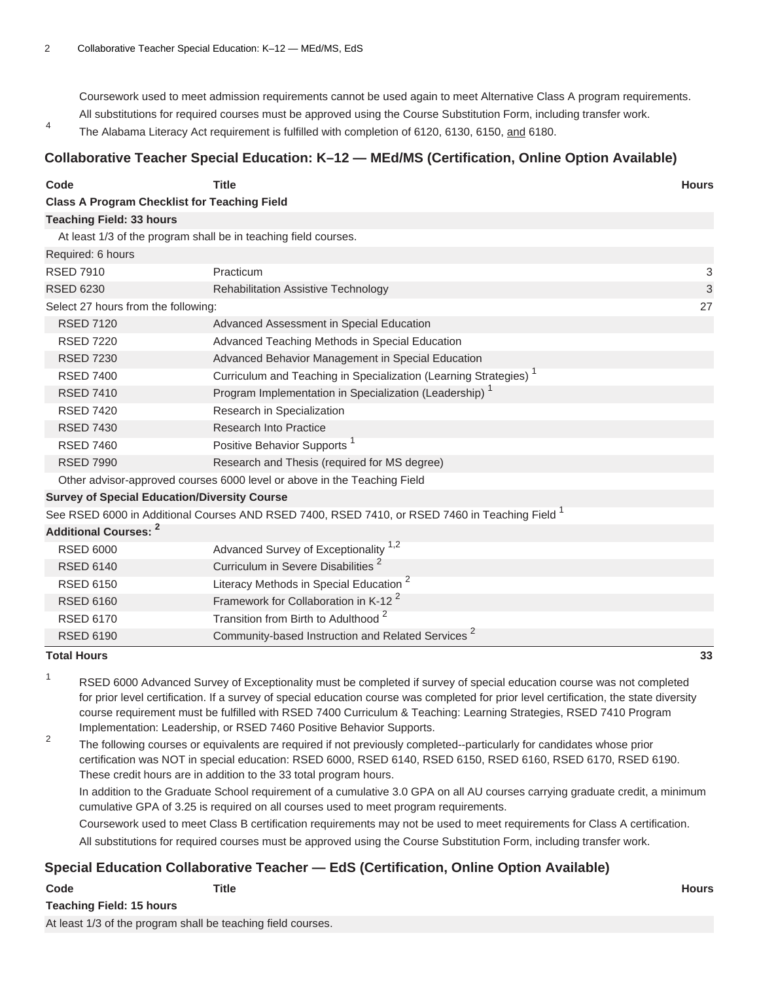Coursework used to meet admission requirements cannot be used again to meet Alternative Class A program requirements. All substitutions for required courses must be approved using the Course Substitution Form, including transfer work.

4 The Alabama Literacy Act requirement is fulfilled with completion of 6120, 6130, 6150, and 6180.

### **Collaborative Teacher Special Education: K–12 — MEd/MS (Certification, Online Option Available)**

| Code                                                | <b>Title</b>                                                                                              | <b>Hours</b> |
|-----------------------------------------------------|-----------------------------------------------------------------------------------------------------------|--------------|
| <b>Class A Program Checklist for Teaching Field</b> |                                                                                                           |              |
| <b>Teaching Field: 33 hours</b>                     |                                                                                                           |              |
|                                                     | At least 1/3 of the program shall be in teaching field courses.                                           |              |
| Required: 6 hours                                   |                                                                                                           |              |
| <b>RSED 7910</b>                                    | Practicum                                                                                                 | 3            |
| <b>RSED 6230</b>                                    | <b>Rehabilitation Assistive Technology</b>                                                                | 3            |
| Select 27 hours from the following:                 |                                                                                                           | 27           |
| <b>RSED 7120</b>                                    | Advanced Assessment in Special Education                                                                  |              |
| <b>RSED 7220</b>                                    | Advanced Teaching Methods in Special Education                                                            |              |
| <b>RSED 7230</b>                                    | Advanced Behavior Management in Special Education                                                         |              |
| <b>RSED 7400</b>                                    | Curriculum and Teaching in Specialization (Learning Strategies) <sup>1</sup>                              |              |
| <b>RSED 7410</b>                                    | Program Implementation in Specialization (Leadership) <sup>1</sup>                                        |              |
| <b>RSED 7420</b>                                    | Research in Specialization                                                                                |              |
| <b>RSED 7430</b>                                    | <b>Research Into Practice</b>                                                                             |              |
| <b>RSED 7460</b>                                    | Positive Behavior Supports <sup>1</sup>                                                                   |              |
| <b>RSED 7990</b>                                    | Research and Thesis (required for MS degree)                                                              |              |
|                                                     | Other advisor-approved courses 6000 level or above in the Teaching Field                                  |              |
| <b>Survey of Special Education/Diversity Course</b> |                                                                                                           |              |
|                                                     | See RSED 6000 in Additional Courses AND RSED 7400, RSED 7410, or RSED 7460 in Teaching Field <sup>1</sup> |              |
| <b>Additional Courses: 2</b>                        |                                                                                                           |              |
| <b>RSED 6000</b>                                    | Advanced Survey of Exceptionality <sup>1,2</sup>                                                          |              |
| <b>RSED 6140</b>                                    | Curriculum in Severe Disabilities <sup>2</sup>                                                            |              |
| <b>RSED 6150</b>                                    | Literacy Methods in Special Education <sup>2</sup>                                                        |              |
| <b>RSED 6160</b>                                    | Framework for Collaboration in K-12 <sup>2</sup>                                                          |              |
| <b>RSED 6170</b>                                    | Transition from Birth to Adulthood <sup>2</sup>                                                           |              |
| <b>RSED 6190</b>                                    | Community-based Instruction and Related Services <sup>2</sup>                                             |              |
| <b>Total Hours</b>                                  |                                                                                                           | 33           |

- 1 RSED 6000 Advanced Survey of Exceptionality must be completed if survey of special education course was not completed for prior level certification. If a survey of special education course was completed for prior level certification, the state diversity course requirement must be fulfilled with RSED 7400 Curriculum & Teaching: Learning Strategies, RSED 7410 Program Implementation: Leadership, or RSED 7460 Positive Behavior Supports.
	- 2 The following courses or equivalents are required if not previously completed--particularly for candidates whose prior certification was NOT in special education: RSED 6000, RSED 6140, RSED 6150, RSED 6160, RSED 6170, RSED 6190. These credit hours are in addition to the 33 total program hours.

In addition to the Graduate School requirement of a cumulative 3.0 GPA on all AU courses carrying graduate credit, a minimum cumulative GPA of 3.25 is required on all courses used to meet program requirements.

Coursework used to meet Class B certification requirements may not be used to meet requirements for Class A certification.

All substitutions for required courses must be approved using the Course Substitution Form, including transfer work.

## **Special Education Collaborative Teacher — EdS (Certification, Online Option Available)**

| Code                                                         | Title | Hours |
|--------------------------------------------------------------|-------|-------|
| <b>Teaching Field: 15 hours</b>                              |       |       |
| At least 1/3 of the program shall be teaching field courses. |       |       |